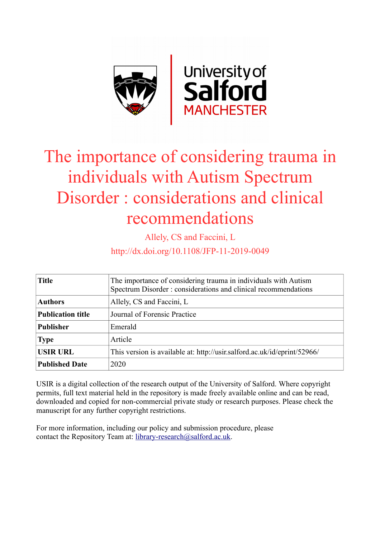

# The importance of considering trauma in individuals with Autism Spectrum Disorder : considerations and clinical recommendations

Allely, CS and Faccini, L

http://dx.doi.org/10.1108/JFP-11-2019-0049

| <b>Title</b>             | The importance of considering trauma in individuals with Autism<br>Spectrum Disorder : considerations and clinical recommendations |
|--------------------------|------------------------------------------------------------------------------------------------------------------------------------|
| <b>Authors</b>           | Allely, CS and Faccini, L                                                                                                          |
| <b>Publication title</b> | Journal of Forensic Practice                                                                                                       |
| <b>Publisher</b>         | Emerald                                                                                                                            |
| <b>Type</b>              | Article                                                                                                                            |
| <b>USIR URL</b>          | This version is available at: http://usir.salford.ac.uk/id/eprint/52966/                                                           |
| <b>Published Date</b>    | 2020                                                                                                                               |

USIR is a digital collection of the research output of the University of Salford. Where copyright permits, full text material held in the repository is made freely available online and can be read, downloaded and copied for non-commercial private study or research purposes. Please check the manuscript for any further copyright restrictions.

For more information, including our policy and submission procedure, please contact the Repository Team at: [library-research@salford.ac.uk.](mailto:library-research@salford.ac.uk)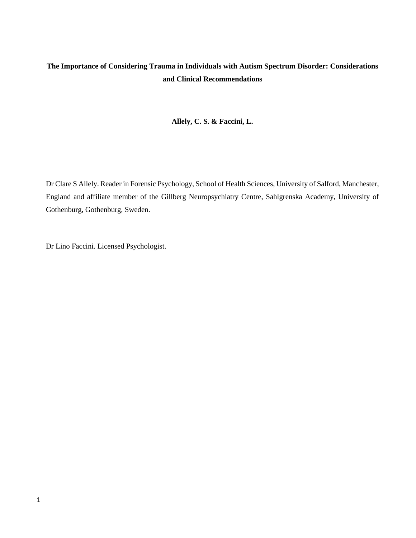# **The Importance of Considering Trauma in Individuals with Autism Spectrum Disorder: Considerations and Clinical Recommendations**

## **Allely, C. S. & Faccini, L.**

Dr Clare S Allely. Reader in Forensic Psychology, School of Health Sciences, University of Salford, Manchester, England and affiliate member of the Gillberg Neuropsychiatry Centre, Sahlgrenska Academy, University of Gothenburg, Gothenburg, Sweden.

Dr Lino Faccini. Licensed Psychologist.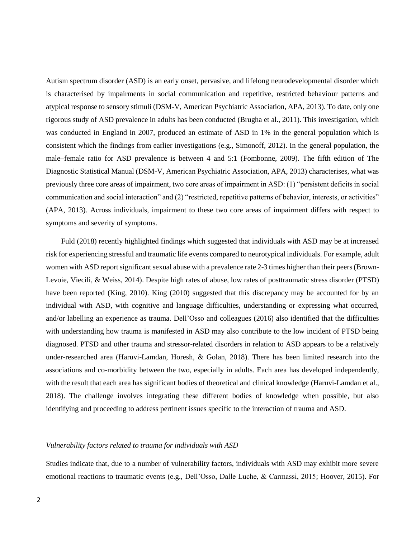Autism spectrum disorder (ASD) is an early onset, pervasive, and lifelong neurodevelopmental disorder which is characterised by impairments in social communication and repetitive, restricted behaviour patterns and atypical response to sensory stimuli (DSM-V, American Psychiatric Association, APA, 2013). To date, only one rigorous study of ASD prevalence in adults has been conducted (Brugha et al., 2011). This investigation, which was conducted in England in 2007, produced an estimate of ASD in 1% in the general population which is consistent which the findings from earlier investigations (e.g., Simonoff, 2012). In the general population, the male–female ratio for ASD prevalence is between 4 and 5:1 (Fombonne, 2009). The fifth edition of The Diagnostic Statistical Manual (DSM-V, American Psychiatric Association, APA, 2013) characterises, what was previously three core areas of impairment, two core areas of impairment in ASD: (1) "persistent deficits in social communication and social interaction" and (2) "restricted, repetitive patterns of behavior, interests, or activities" (APA, 2013). Across individuals, impairment to these two core areas of impairment differs with respect to symptoms and severity of symptoms.

Fuld (2018) recently highlighted findings which suggested that individuals with ASD may be at increased risk for experiencing stressful and traumatic life events compared to neurotypical individuals. For example, adult women with ASD report significant sexual abuse with a prevalence rate 2-3 times higher than their peers (Brown-Levoie, Viecili, & Weiss, 2014). Despite high rates of abuse, low rates of posttraumatic stress disorder (PTSD) have been reported (King, 2010). King (2010) suggested that this discrepancy may be accounted for by an individual with ASD, with cognitive and language difficulties, understanding or expressing what occurred, and/or labelling an experience as trauma. Dell'Osso and colleagues (2016) also identified that the difficulties with understanding how trauma is manifested in ASD may also contribute to the low incident of PTSD being diagnosed. PTSD and other trauma and stressor-related disorders in relation to ASD appears to be a relatively under-researched area (Haruvi-Lamdan, Horesh, & Golan, 2018). There has been limited research into the associations and co-morbidity between the two, especially in adults. Each area has developed independently, with the result that each area has significant bodies of theoretical and clinical knowledge (Haruvi-Lamdan et al., 2018). The challenge involves integrating these different bodies of knowledge when possible, but also identifying and proceeding to address pertinent issues specific to the interaction of trauma and ASD.

#### *Vulnerability factors related to trauma for individuals with ASD*

Studies indicate that, due to a number of vulnerability factors, individuals with ASD may exhibit more severe emotional reactions to traumatic events (e.g., Dell'Osso, Dalle Luche, & Carmassi, 2015; Hoover, 2015). For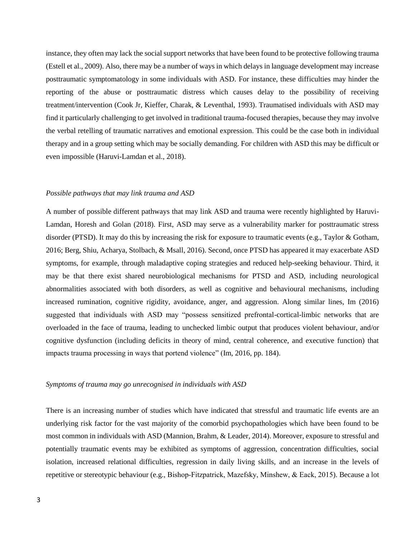instance, they often may lack the social support networks that have been found to be protective following trauma (Estell et al., 2009). Also, there may be a number of ways in which delays in language development may increase posttraumatic symptomatology in some individuals with ASD. For instance, these difficulties may hinder the reporting of the abuse or posttraumatic distress which causes delay to the possibility of receiving treatment/intervention (Cook Jr, Kieffer, Charak, & Leventhal, 1993). Traumatised individuals with ASD may find it particularly challenging to get involved in traditional trauma-focused therapies, because they may involve the verbal retelling of traumatic narratives and emotional expression. This could be the case both in individual therapy and in a group setting which may be socially demanding. For children with ASD this may be difficult or even impossible (Haruvi-Lamdan et al., 2018).

#### *Possible pathways that may link trauma and ASD*

A number of possible different pathways that may link ASD and trauma were recently highlighted by Haruvi-Lamdan, Horesh and Golan (2018). First, ASD may serve as a vulnerability marker for posttraumatic stress disorder (PTSD). It may do this by increasing the risk for exposure to traumatic events (e.g., Taylor & Gotham, 2016; Berg, Shiu, Acharya, Stolbach, & Msall, 2016). Second, once PTSD has appeared it may exacerbate ASD symptoms, for example, through maladaptive coping strategies and reduced help-seeking behaviour. Third, it may be that there exist shared neurobiological mechanisms for PTSD and ASD, including neurological abnormalities associated with both disorders, as well as cognitive and behavioural mechanisms, including increased rumination, cognitive rigidity, avoidance, anger, and aggression. Along similar lines, Im (2016) suggested that individuals with ASD may "possess sensitized prefrontal-cortical-limbic networks that are overloaded in the face of trauma, leading to unchecked limbic output that produces violent behaviour, and/or cognitive dysfunction (including deficits in theory of mind, central coherence, and executive function) that impacts trauma processing in ways that portend violence" (Im, 2016, pp. 184).

#### *Symptoms of trauma may go unrecognised in individuals with ASD*

There is an increasing number of studies which have indicated that stressful and traumatic life events are an underlying risk factor for the vast majority of the comorbid psychopathologies which have been found to be most common in individuals with ASD (Mannion, Brahm, & Leader, 2014). Moreover, exposure to stressful and potentially traumatic events may be exhibited as symptoms of aggression, concentration difficulties, social isolation, increased relational difficulties, regression in daily living skills, and an increase in the levels of repetitive or stereotypic behaviour (e.g., Bishop‐Fitzpatrick, Mazefsky, Minshew, & Eack, 2015). Because a lot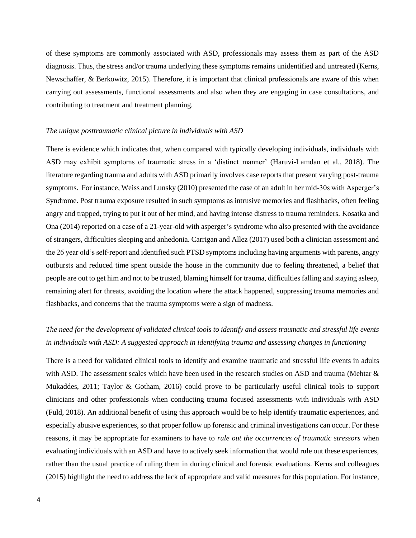of these symptoms are commonly associated with ASD, professionals may assess them as part of the ASD diagnosis. Thus, the stress and/or trauma underlying these symptoms remains unidentified and untreated (Kerns, Newschaffer, & Berkowitz, 2015). Therefore, it is important that clinical professionals are aware of this when carrying out assessments, functional assessments and also when they are engaging in case consultations, and contributing to treatment and treatment planning.

#### *The unique posttraumatic clinical picture in individuals with ASD*

There is evidence which indicates that, when compared with typically developing individuals, individuals with ASD may exhibit symptoms of traumatic stress in a 'distinct manner' (Haruvi-Lamdan et al., 2018). The literature regarding trauma and adults with ASD primarily involves case reports that present varying post-trauma symptoms. For instance, Weiss and Lunsky (2010) presented the case of an adult in her mid-30s with Asperger's Syndrome. Post trauma exposure resulted in such symptoms as intrusive memories and flashbacks, often feeling angry and trapped, trying to put it out of her mind, and having intense distress to trauma reminders. Kosatka and Ona (2014) reported on a case of a 21-year-old with asperger's syndrome who also presented with the avoidance of strangers, difficulties sleeping and anhedonia. Carrigan and Allez (2017) used both a clinician assessment and the 26 year old's self-report and identified such PTSD symptoms including having arguments with parents, angry outbursts and reduced time spent outside the house in the community due to feeling threatened, a belief that people are out to get him and not to be trusted, blaming himself for trauma, difficulties falling and staying asleep, remaining alert for threats, avoiding the location where the attack happened, suppressing trauma memories and flashbacks, and concerns that the trauma symptoms were a sign of madness.

# *The need for the development of validated clinical tools to identify and assess traumatic and stressful life events in individuals with ASD: A suggested approach in identifying trauma and assessing changes in functioning*

There is a need for validated clinical tools to identify and examine traumatic and stressful life events in adults with ASD. The assessment scales which have been used in the research studies on ASD and trauma (Mehtar & Mukaddes, 2011; Taylor & Gotham, 2016) could prove to be particularly useful clinical tools to support clinicians and other professionals when conducting trauma focused assessments with individuals with ASD (Fuld, 2018). An additional benefit of using this approach would be to help identify traumatic experiences, and especially abusive experiences, so that proper follow up forensic and criminal investigations can occur. For these reasons, it may be appropriate for examiners to have to *rule out the occurrences of traumatic stressors* when evaluating individuals with an ASD and have to actively seek information that would rule out these experiences, rather than the usual practice of ruling them in during clinical and forensic evaluations. Kerns and colleagues (2015) highlight the need to address the lack of appropriate and valid measures for this population. For instance,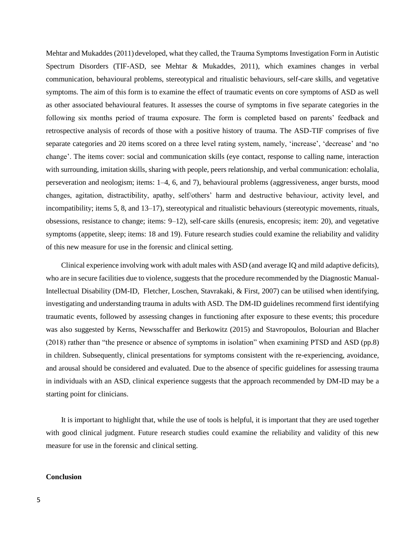Mehtar and Mukaddes (2011) developed, what they called, the Trauma Symptoms Investigation Form in Autistic Spectrum Disorders (TIF-ASD, see Mehtar & Mukaddes, 2011), which examines changes in verbal communication, behavioural problems, stereotypical and ritualistic behaviours, self-care skills, and vegetative symptoms. The aim of this form is to examine the effect of traumatic events on core symptoms of ASD as well as other associated behavioural features. It assesses the course of symptoms in five separate categories in the following six months period of trauma exposure. The form is completed based on parents' feedback and retrospective analysis of records of those with a positive history of trauma. The ASD-TIF comprises of five separate categories and 20 items scored on a three level rating system, namely, 'increase', 'decrease' and 'no change'. The items cover: social and communication skills (eye contact, response to calling name, interaction with surrounding, imitation skills, sharing with people, peers relationship, and verbal communication: echolalia, perseveration and neologism; items: 1–4, 6, and 7), behavioural problems (aggressiveness, anger bursts, mood changes, agitation, distractibility, apathy, self/others' harm and destructive behaviour, activity level, and incompatibility; items 5, 8, and 13–17), stereotypical and ritualistic behaviours (stereotypic movements, rituals, obsessions, resistance to change; items: 9–12), self-care skills (enuresis, encopresis; item: 20), and vegetative symptoms (appetite, sleep; items: 18 and 19). Future research studies could examine the reliability and validity of this new measure for use in the forensic and clinical setting.

Clinical experience involving work with adult males with ASD (and average IQ and mild adaptive deficits), who are in secure facilities due to violence, suggests that the procedure recommended by the Diagnostic Manual-Intellectual Disability (DM-ID, Fletcher, Loschen, Stavrakaki, & First, 2007) can be utilised when identifying, investigating and understanding trauma in adults with ASD. The DM-ID guidelines recommend first identifying traumatic events, followed by assessing changes in functioning after exposure to these events; this procedure was also suggested by Kerns, Newsschaffer and Berkowitz (2015) and Stavropoulos, Bolourian and Blacher (2018) rather than "the presence or absence of symptoms in isolation" when examining PTSD and ASD (pp.8) in children. Subsequently, clinical presentations for symptoms consistent with the re-experiencing, avoidance, and arousal should be considered and evaluated. Due to the absence of specific guidelines for assessing trauma in individuals with an ASD, clinical experience suggests that the approach recommended by DM-ID may be a starting point for clinicians.

It is important to highlight that, while the use of tools is helpful, it is important that they are used together with good clinical judgment. Future research studies could examine the reliability and validity of this new measure for use in the forensic and clinical setting.

#### **Conclusion**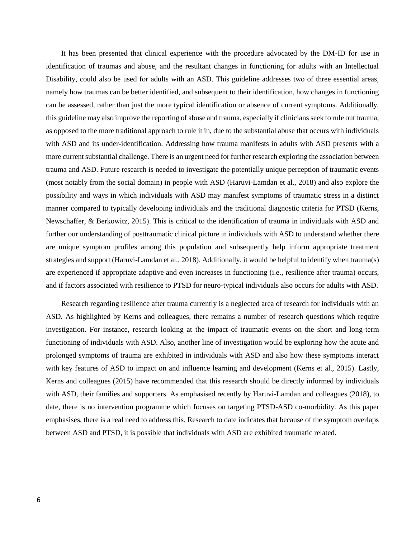It has been presented that clinical experience with the procedure advocated by the DM-ID for use in identification of traumas and abuse, and the resultant changes in functioning for adults with an Intellectual Disability, could also be used for adults with an ASD. This guideline addresses two of three essential areas, namely how traumas can be better identified, and subsequent to their identification, how changes in functioning can be assessed, rather than just the more typical identification or absence of current symptoms. Additionally, this guideline may also improve the reporting of abuse and trauma, especially if clinicians seek to rule out trauma, as opposed to the more traditional approach to rule it in, due to the substantial abuse that occurs with individuals with ASD and its under-identification. Addressing how trauma manifests in adults with ASD presents with a more current substantial challenge. There is an urgent need for further research exploring the association between trauma and ASD. Future research is needed to investigate the potentially unique perception of traumatic events (most notably from the social domain) in people with ASD (Haruvi-Lamdan et al., 2018) and also explore the possibility and ways in which individuals with ASD may manifest symptoms of traumatic stress in a distinct manner compared to typically developing individuals and the traditional diagnostic criteria for PTSD (Kerns, Newschaffer, & Berkowitz, 2015). This is critical to the identification of trauma in individuals with ASD and further our understanding of posttraumatic clinical picture in individuals with ASD to understand whether there are unique symptom profiles among this population and subsequently help inform appropriate treatment strategies and support (Haruvi-Lamdan et al., 2018). Additionally, it would be helpful to identify when trauma(s) are experienced if appropriate adaptive and even increases in functioning (i.e., resilience after trauma) occurs, and if factors associated with resilience to PTSD for neuro-typical individuals also occurs for adults with ASD.

Research regarding resilience after trauma currently is a neglected area of research for individuals with an ASD. As highlighted by Kerns and colleagues, there remains a number of research questions which require investigation. For instance, research looking at the impact of traumatic events on the short and long-term functioning of individuals with ASD. Also, another line of investigation would be exploring how the acute and prolonged symptoms of trauma are exhibited in individuals with ASD and also how these symptoms interact with key features of ASD to impact on and influence learning and development (Kerns et al., 2015). Lastly, Kerns and colleagues (2015) have recommended that this research should be directly informed by individuals with ASD, their families and supporters. As emphasised recently by Haruvi-Lamdan and colleagues (2018), to date, there is no intervention programme which focuses on targeting PTSD-ASD co-morbidity. As this paper emphasises, there is a real need to address this. Research to date indicates that because of the symptom overlaps between ASD and PTSD, it is possible that individuals with ASD are exhibited traumatic related.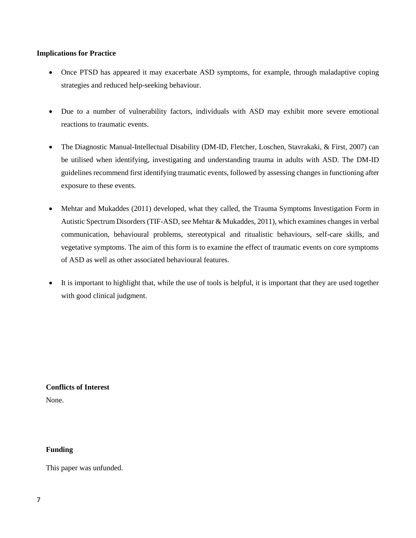### **Implications for Practice**

- Once PTSD has appeared it may exacerbate ASD symptoms, for example, through maladaptive coping strategies and reduced help-seeking behaviour.
- Due to a number of vulnerability factors, individuals with ASD may exhibit more severe emotional reactions to traumatic events.
- The Diagnostic Manual-Intellectual Disability (DM-ID, Fletcher, Loschen, Stavrakaki, & First, 2007) can be utilised when identifying, investigating and understanding trauma in adults with ASD. The DM-ID guidelines recommend first identifying traumatic events, followed by assessing changes in functioning after exposure to these events.
- Mehtar and Mukaddes (2011) developed, what they called, the Trauma Symptoms Investigation Form in Autistic Spectrum Disorders (TIF-ASD, see Mehtar & Mukaddes, 2011), which examines changes in verbal communication, behavioural problems, stereotypical and ritualistic behaviours, self-care skills, and vegetative symptoms. The aim of this form is to examine the effect of traumatic events on core symptoms of ASD as well as other associated behavioural features.
- It is important to highlight that, while the use of tools is helpful, it is important that they are used together with good clinical judgment.

**Conflicts of Interest** None.

## **Funding**

This paper was unfunded.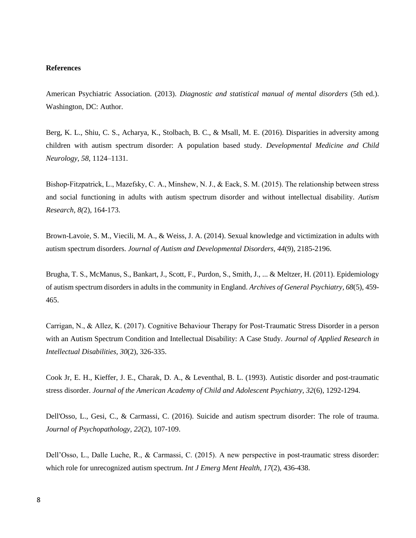#### **References**

American Psychiatric Association. (2013). *Diagnostic and statistical manual of mental disorders* (5th ed.). Washington, DC: Author.

Berg, K. L., Shiu, C. S., Acharya, K., Stolbach, B. C., & Msall, M. E. (2016). Disparities in adversity among children with autism spectrum disorder: A population based study. *Developmental Medicine and Child Neurology, 58,* 1124–1131.

Bishop-Fitzpatrick, L., Mazefsky, C. A., Minshew, N. J., & Eack, S. M. (2015). The relationship between stress and social functioning in adults with autism spectrum disorder and without intellectual disability. *Autism Research, 8(*2), 164-173.

Brown-Lavoie, S. M., Viecili, M. A., & Weiss, J. A. (2014). Sexual knowledge and victimization in adults with autism spectrum disorders. *Journal of Autism and Developmental Disorders, 44*(9), 2185-2196.

Brugha, T. S., McManus, S., Bankart, J., Scott, F., Purdon, S., Smith, J., ... & Meltzer, H. (2011). Epidemiology of autism spectrum disorders in adults in the community in England. *Archives of General Psychiatry, 68*(5), 459- 465.

Carrigan, N., & Allez, K. (2017). Cognitive Behaviour Therapy for Post‐Traumatic Stress Disorder in a person with an Autism Spectrum Condition and Intellectual Disability: A Case Study*. Journal of Applied Research in Intellectual Disabilities, 30*(2), 326-335.

Cook Jr, E. H., Kieffer, J. E., Charak, D. A., & Leventhal, B. L. (1993). Autistic disorder and post-traumatic stress disorder. *Journal of the American Academy of Child and Adolescent Psychiatry, 32*(6), 1292-1294.

Dell'Osso, L., Gesi, C., & Carmassi, C. (2016). Suicide and autism spectrum disorder: The role of trauma. *Journal of Psychopathology, 22*(2), 107-109.

Dell'Osso, L., Dalle Luche, R., & Carmassi, C. (2015). A new perspective in post-traumatic stress disorder: which role for unrecognized autism spectrum. *Int J Emerg Ment Health, 17(2), 436-438*.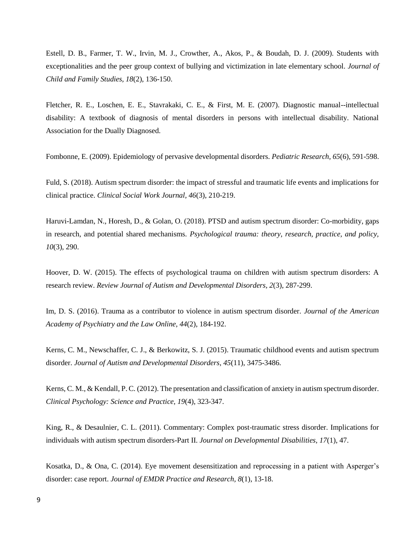Estell, D. B., Farmer, T. W., Irvin, M. J., Crowther, A., Akos, P., & Boudah, D. J. (2009). Students with exceptionalities and the peer group context of bullying and victimization in late elementary school. *Journal of Child and Family Studies, 18*(2), 136-150.

Fletcher, R. E., Loschen, E. E., Stavrakaki, C. E., & First, M. E. (2007). Diagnostic manual--intellectual disability: A textbook of diagnosis of mental disorders in persons with intellectual disability. National Association for the Dually Diagnosed.

Fombonne, E. (2009). Epidemiology of pervasive developmental disorders. *Pediatric Research, 65*(6), 591-598.

Fuld, S. (2018). Autism spectrum disorder: the impact of stressful and traumatic life events and implications for clinical practice. *Clinical Social Work Journal, 46*(3), 210-219.

Haruvi-Lamdan, N., Horesh, D., & Golan, O. (2018). PTSD and autism spectrum disorder: Co-morbidity, gaps in research, and potential shared mechanisms*. Psychological trauma: theory, research, practice, and policy, 10*(3), 290.

Hoover, D. W. (2015). The effects of psychological trauma on children with autism spectrum disorders: A research review. *Review Journal of Autism and Developmental Disorders, 2*(3), 287-299.

Im, D. S. (2016). Trauma as a contributor to violence in autism spectrum disorder. *Journal of the American Academy of Psychiatry and the Law Online, 44*(2), 184-192.

Kerns, C. M., Newschaffer, C. J., & Berkowitz, S. J. (2015). Traumatic childhood events and autism spectrum disorder. *Journal of Autism and Developmental Disorders, 45*(11), 3475-3486.

Kerns, C. M., & Kendall, P. C. (2012). The presentation and classification of anxiety in autism spectrum disorder. *Clinical Psychology: Science and Practice, 19*(4), 323-347.

King, R., & Desaulnier, C. L. (2011). Commentary: Complex post-traumatic stress disorder. Implications for individuals with autism spectrum disorders-Part II. *Journal on Developmental Disabilities, 17*(1), 47.

Kosatka, D., & Ona, C. (2014). Eye movement desensitization and reprocessing in a patient with Asperger's disorder: case report. *Journal of EMDR Practice and Research, 8*(1), 13-18.